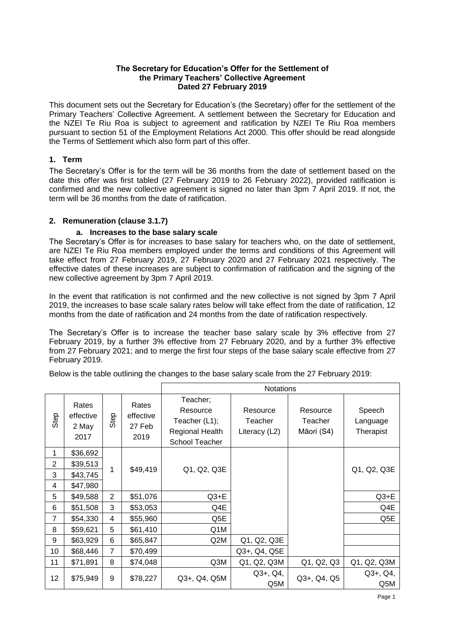#### **The Secretary for Education's Offer for the Settlement of the Primary Teachers' Collective Agreement Dated 27 February 2019**

This document sets out the Secretary for Education's (the Secretary) offer for the settlement of the Primary Teachers' Collective Agreement. A settlement between the Secretary for Education and the NZEI Te Riu Roa is subject to agreement and ratification by NZEI Te Riu Roa members pursuant to section 51 of the Employment Relations Act 2000. This offer should be read alongside the Terms of Settlement which also form part of this offer.

### **1. Term**

The Secretary's Offer is for the term will be 36 months from the date of settlement based on the date this offer was first tabled (27 February 2019 to 26 February 2022), provided ratification is confirmed and the new collective agreement is signed no later than 3pm 7 April 2019. If not, the term will be 36 months from the date of ratification.

## **2. Remuneration (clause 3.1.7)**

### **a. Increases to the base salary scale**

The Secretary's Offer is for increases to base salary for teachers who, on the date of settlement, are NZEI Te Riu Roa members employed under the terms and conditions of this Agreement will take effect from 27 February 2019, 27 February 2020 and 27 February 2021 respectively. The effective dates of these increases are subject to confirmation of ratification and the signing of the new collective agreement by 3pm 7 April 2019.

In the event that ratification is not confirmed and the new collective is not signed by 3pm 7 April 2019, the increases to base scale salary rates below will take effect from the date of ratification, 12 months from the date of ratification and 24 months from the date of ratification respectively.

The Secretary's Offer is to increase the teacher base salary scale by 3% effective from 27 February 2019, by a further 3% effective from 27 February 2020, and by a further 3% effective from 27 February 2021; and to merge the first four steps of the base salary scale effective from 27 February 2019.

Below is the table outlining the changes to the base salary scale from the 27 February 2019:

|                |                                     |                |                                      | <b>Notations</b>                                                                  |                                      |                                   |                                 |
|----------------|-------------------------------------|----------------|--------------------------------------|-----------------------------------------------------------------------------------|--------------------------------------|-----------------------------------|---------------------------------|
| Step           | Rates<br>effective<br>2 May<br>2017 | Step           | Rates<br>effective<br>27 Feb<br>2019 | Teacher;<br>Resource<br>Teacher (L1);<br><b>Regional Health</b><br>School Teacher | Resource<br>Teacher<br>Literacy (L2) | Resource<br>Teacher<br>Māori (S4) | Speech<br>Language<br>Therapist |
| 1              | \$36,692                            | 1              | \$49,419                             |                                                                                   |                                      |                                   |                                 |
| $\overline{2}$ | \$39,513                            |                |                                      | Q1, Q2, Q3E                                                                       |                                      |                                   | Q1, Q2, Q3E                     |
| 3              | \$43,745                            |                |                                      |                                                                                   |                                      |                                   |                                 |
| 4              | \$47,980                            |                |                                      |                                                                                   |                                      |                                   |                                 |
| 5              | \$49,588                            | $\overline{2}$ | \$51,076                             | $Q3+E$                                                                            |                                      |                                   | $Q3+E$                          |
| 6              | \$51,508                            | 3              | \$53,053                             | Q4E                                                                               |                                      |                                   | Q4E                             |
| $\overline{7}$ | \$54,330                            | 4              | \$55,960                             | Q5E                                                                               |                                      |                                   | Q5E                             |
| 8              | \$59,621                            | 5              | \$61,410                             | Q1M                                                                               |                                      |                                   |                                 |
| 9              | \$63,929                            | 6              | \$65,847                             | Q2M                                                                               | Q1, Q2, Q3E                          |                                   |                                 |
| 10             | \$68,446                            | $\overline{7}$ | \$70,499                             |                                                                                   | Q3+, Q4, Q5E                         |                                   |                                 |
| 11             | \$71,891                            | 8              | \$74,048                             | Q3M                                                                               | Q1, Q2, Q3M                          | Q1, Q2, Q3                        | Q1, Q2, Q3M                     |
| 12             | \$75,949                            | 9              | \$78,227                             | Q3+, Q4, Q5M                                                                      | $Q3+$ , $Q4$ ,<br>Q5M                | Q3+, Q4, Q5                       | $Q3+$ , $Q4$ ,<br>Q5M           |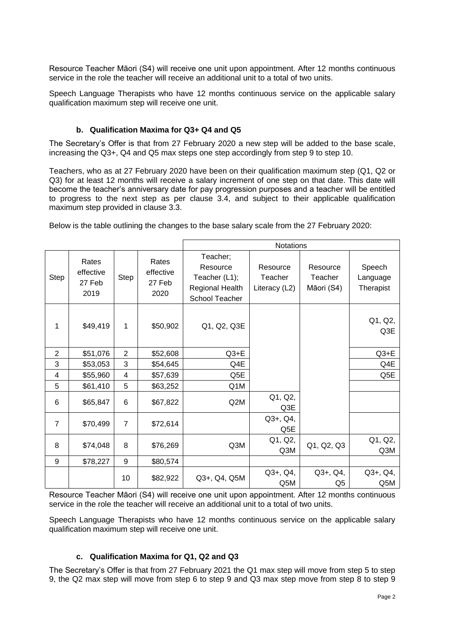Resource Teacher Māori (S4) will receive one unit upon appointment. After 12 months continuous service in the role the teacher will receive an additional unit to a total of two units.

Speech Language Therapists who have 12 months continuous service on the applicable salary qualification maximum step will receive one unit.

### **b. Qualification Maxima for Q3+ Q4 and Q5**

The Secretary's Offer is that from 27 February 2020 a new step will be added to the base scale, increasing the Q3+, Q4 and Q5 max steps one step accordingly from step 9 to step 10.

Teachers, who as at 27 February 2020 have been on their qualification maximum step (Q1, Q2 or Q3) for at least 12 months will receive a salary increment of one step on that date. This date will become the teacher's anniversary date for pay progression purposes and a teacher will be entitled to progress to the next step as per clause 3.4, and subject to their applicable qualification maximum step provided in clause 3.3.

Below is the table outlining the changes to the base salary scale from the 27 February 2020:

|                |                                      |                |                                      | <b>Notations</b>                                                           |                                      |                                   |                                 |
|----------------|--------------------------------------|----------------|--------------------------------------|----------------------------------------------------------------------------|--------------------------------------|-----------------------------------|---------------------------------|
| <b>Step</b>    | Rates<br>effective<br>27 Feb<br>2019 | Step           | Rates<br>effective<br>27 Feb<br>2020 | Teacher;<br>Resource<br>Teacher (L1);<br>Regional Health<br>School Teacher | Resource<br>Teacher<br>Literacy (L2) | Resource<br>Teacher<br>Māori (S4) | Speech<br>Language<br>Therapist |
| 1              | \$49,419                             | 1              | \$50,902                             | Q1, Q2, Q3E                                                                |                                      |                                   | Q1, Q2,<br>Q3E                  |
| $\overline{2}$ | \$51,076                             | $\overline{2}$ | \$52,608                             | $Q3+E$                                                                     |                                      |                                   | $Q3+E$                          |
| 3              | \$53,053                             | 3              | \$54,645                             | Q4E                                                                        |                                      |                                   | Q4E                             |
| 4              | \$55,960                             | 4              | \$57,639                             | Q5E                                                                        |                                      |                                   | Q5E                             |
| 5              | \$61,410                             | 5              | \$63,252                             | Q1M                                                                        |                                      |                                   |                                 |
| 6              | \$65,847                             | 6              | \$67,822                             | Q2M                                                                        | Q1, Q2,<br>Q3E                       |                                   |                                 |
| $\overline{7}$ | \$70,499                             | $\overline{7}$ | \$72,614                             |                                                                            | $Q3+$ , $Q4$ ,<br>Q5E                |                                   |                                 |
| 8              | \$74,048                             | 8              | \$76,269                             | Q3M                                                                        | Q1, Q2,<br>Q3M                       | Q1, Q2, Q3                        | Q1, Q2,<br>Q3M                  |
| 9              | \$78,227                             | 9              | \$80,574                             |                                                                            |                                      |                                   |                                 |
|                |                                      | 10             | \$82,922                             | Q3+, Q4, Q5M                                                               | $Q3+$ , $Q4$ ,<br>Q5M                | $Q3+$ , $Q4$ ,<br>Q <sub>5</sub>  | $Q3+$ , $Q4$ ,<br>Q5M           |

Resource Teacher Māori (S4) will receive one unit upon appointment. After 12 months continuous service in the role the teacher will receive an additional unit to a total of two units.

Speech Language Therapists who have 12 months continuous service on the applicable salary qualification maximum step will receive one unit.

#### **c. Qualification Maxima for Q1, Q2 and Q3**

The Secretary's Offer is that from 27 February 2021 the Q1 max step will move from step 5 to step 9, the Q2 max step will move from step 6 to step 9 and Q3 max step move from step 8 to step 9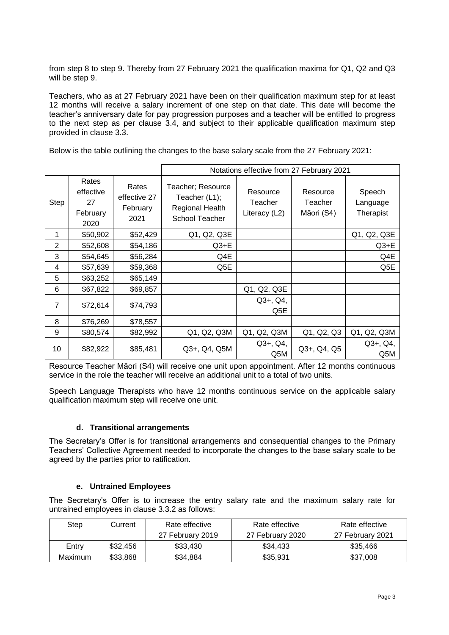from step 8 to step 9. Thereby from 27 February 2021 the qualification maxima for Q1, Q2 and Q3 will be step 9.

Teachers, who as at 27 February 2021 have been on their qualification maximum step for at least 12 months will receive a salary increment of one step on that date. This date will become the teacher's anniversary date for pay progression purposes and a teacher will be entitled to progress to the next step as per clause 3.4, and subject to their applicable qualification maximum step provided in clause 3.3.

Below is the table outlining the changes to the base salary scale from the 27 February 2021:

|                |                                              |                                           | Notations effective from 27 February 2021                                      |                                      |                                   |                                 |
|----------------|----------------------------------------------|-------------------------------------------|--------------------------------------------------------------------------------|--------------------------------------|-----------------------------------|---------------------------------|
| <b>Step</b>    | Rates<br>effective<br>27<br>February<br>2020 | Rates<br>effective 27<br>February<br>2021 | Teacher; Resource<br>Teacher (L1);<br>Regional Health<br><b>School Teacher</b> | Resource<br>Teacher<br>Literacy (L2) | Resource<br>Teacher<br>Māori (S4) | Speech<br>Language<br>Therapist |
| 1              | \$50,902                                     | \$52,429                                  | Q1, Q2, Q3E                                                                    |                                      |                                   | Q1, Q2, Q3E                     |
| $\overline{2}$ | \$52,608                                     | \$54,186                                  | $Q3+E$                                                                         |                                      |                                   | $Q3+E$                          |
| 3              | \$54,645                                     | \$56,284                                  | Q4E                                                                            |                                      |                                   | Q4E                             |
| 4              | \$57,639                                     | \$59,368                                  | Q5E                                                                            |                                      |                                   | Q5E                             |
| 5              | \$63,252                                     | \$65,149                                  |                                                                                |                                      |                                   |                                 |
| 6              | \$67,822                                     | \$69,857                                  |                                                                                | Q1, Q2, Q3E                          |                                   |                                 |
| $\overline{7}$ | \$72,614                                     | \$74,793                                  |                                                                                | $Q3+$ , $Q4$ ,<br>Q5E                |                                   |                                 |
| 8              | \$76,269                                     | \$78,557                                  |                                                                                |                                      |                                   |                                 |
| 9              | \$80,574                                     | \$82,992                                  | Q1, Q2, Q3M                                                                    | Q1, Q2, Q3M                          | Q1, Q2, Q3                        | Q1, Q2, Q3M                     |
| 10             | \$82,922                                     | \$85,481                                  | Q3+, Q4, Q5M                                                                   | $Q3+$ , $Q4$ ,<br>Q5M                | Q3+, Q4, Q5                       | $Q3+$ , $Q4$ ,<br>Q5M           |

Resource Teacher Māori (S4) will receive one unit upon appointment. After 12 months continuous service in the role the teacher will receive an additional unit to a total of two units.

Speech Language Therapists who have 12 months continuous service on the applicable salary qualification maximum step will receive one unit.

#### **d. Transitional arrangements**

The Secretary's Offer is for transitional arrangements and consequential changes to the Primary Teachers' Collective Agreement needed to incorporate the changes to the base salary scale to be agreed by the parties prior to ratification.

#### **e. Untrained Employees**

The Secretary's Offer is to increase the entry salary rate and the maximum salary rate for untrained employees in clause 3.3.2 as follows:

| Step    | Current  | Rate effective   | Rate effective   | Rate effective   |
|---------|----------|------------------|------------------|------------------|
|         |          | 27 February 2019 | 27 February 2020 | 27 February 2021 |
| Entry   | \$32,456 | \$33,430         | \$34.433         | \$35,466         |
| Maximum | \$33,868 | \$34.884         | \$35,931         | \$37,008         |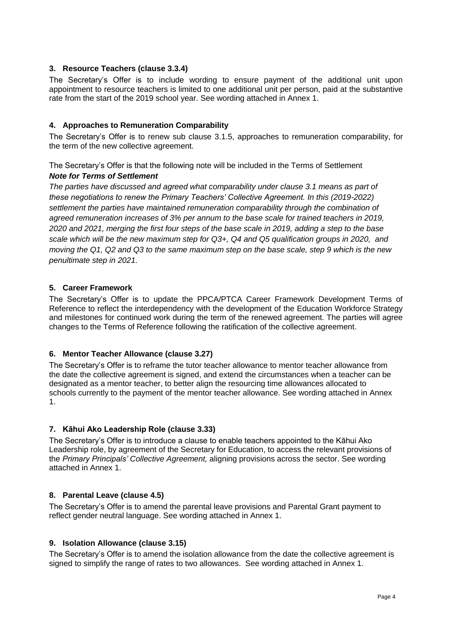### **3. Resource Teachers (clause 3.3.4)**

The Secretary's Offer is to include wording to ensure payment of the additional unit upon appointment to resource teachers is limited to one additional unit per person, paid at the substantive rate from the start of the 2019 school year. See wording attached in Annex 1.

### **4. Approaches to Remuneration Comparability**

The Secretary's Offer is to renew sub clause 3.1.5, approaches to remuneration comparability, for the term of the new collective agreement.

The Secretary's Offer is that the following note will be included in the Terms of Settlement *Note for Terms of Settlement*

*The parties have discussed and agreed what comparability under clause 3.1 means as part of these negotiations to renew the Primary Teachers' Collective Agreement. In this (2019-2022) settlement the parties have maintained remuneration comparability through the combination of agreed remuneration increases of 3% per annum to the base scale for trained teachers in 2019, 2020 and 2021, merging the first four steps of the base scale in 2019, adding a step to the base scale which will be the new maximum step for Q3+, Q4 and Q5 qualification groups in 2020, and moving the Q1, Q2 and Q3 to the same maximum step on the base scale, step 9 which is the new penultimate step in 2021.*

### **5. Career Framework**

The Secretary's Offer is to update the PPCA/PTCA Career Framework Development Terms of Reference to reflect the interdependency with the development of the Education Workforce Strategy and milestones for continued work during the term of the renewed agreement. The parties will agree changes to the Terms of Reference following the ratification of the collective agreement.

#### **6. Mentor Teacher Allowance (clause 3.27)**

The Secretary's Offer is to reframe the tutor teacher allowance to mentor teacher allowance from the date the collective agreement is signed, and extend the circumstances when a teacher can be designated as a mentor teacher, to better align the resourcing time allowances allocated to schools currently to the payment of the mentor teacher allowance. See wording attached in Annex 1.

#### **7. Kāhui Ako Leadership Role (clause 3.33)**

The Secretary's Offer is to introduce a clause to enable teachers appointed to the Kāhui Ako Leadership role, by agreement of the Secretary for Education, to access the relevant provisions of the *Primary Principals' Collective Agreement,* aligning provisions across the sector. See wording attached in Annex 1.

#### **8. Parental Leave (clause 4.5)**

The Secretary's Offer is to amend the parental leave provisions and Parental Grant payment to reflect gender neutral language. See wording attached in Annex 1.

#### **9. Isolation Allowance (clause 3.15)**

The Secretary's Offer is to amend the isolation allowance from the date the collective agreement is signed to simplify the range of rates to two allowances. See wording attached in Annex 1.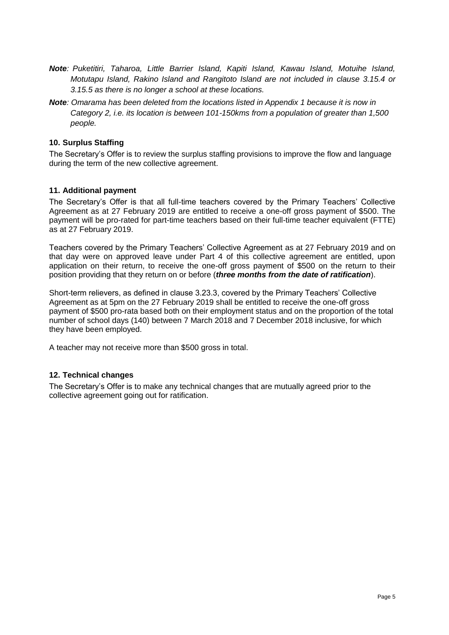- *Note: Puketitiri, Taharoa, Little Barrier Island, Kapiti Island, Kawau Island, Motuihe Island, Motutapu Island, Rakino Island and Rangitoto Island are not included in clause 3.15.4 or 3.15.5 as there is no longer a school at these locations.*
- *Note: Omarama has been deleted from the locations listed in Appendix 1 because it is now in Category 2, i.e. its location is between 101-150kms from a population of greater than 1,500 people.*

### **10. Surplus Staffing**

The Secretary's Offer is to review the surplus staffing provisions to improve the flow and language during the term of the new collective agreement.

#### **11. Additional payment**

The Secretary's Offer is that all full-time teachers covered by the Primary Teachers' Collective Agreement as at 27 February 2019 are entitled to receive a one-off gross payment of \$500. The payment will be pro-rated for part-time teachers based on their full-time teacher equivalent (FTTE) as at 27 February 2019.

Teachers covered by the Primary Teachers' Collective Agreement as at 27 February 2019 and on that day were on approved leave under Part 4 of this collective agreement are entitled, upon application on their return, to receive the one-off gross payment of \$500 on the return to their position providing that they return on or before (*three months from the date of ratification*).

Short-term relievers, as defined in clause 3.23.3, covered by the Primary Teachers' Collective Agreement as at 5pm on the 27 February 2019 shall be entitled to receive the one-off gross payment of \$500 pro-rata based both on their employment status and on the proportion of the total number of school days (140) between 7 March 2018 and 7 December 2018 inclusive, for which they have been employed.

A teacher may not receive more than \$500 gross in total.

### **12. Technical changes**

The Secretary's Offer is to make any technical changes that are mutually agreed prior to the collective agreement going out for ratification.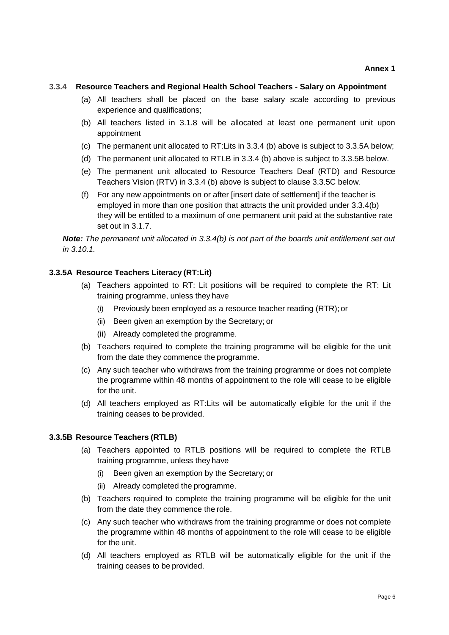#### **3.3.4 Resource Teachers and Regional Health School Teachers - Salary on Appointment**

- (a) All teachers shall be placed on the base salary scale according to previous experience and qualifications;
- (b) All teachers listed in 3.1.8 will be allocated at least one permanent unit upon appointment
- (c) The permanent unit allocated to RT:Lits in 3.3.4 (b) above is subject to 3.3.5A below;
- (d) The permanent unit allocated to RTLB in 3.3.4 (b) above is subject to 3.3.5B below.
- (e) The permanent unit allocated to Resource Teachers Deaf (RTD) and Resource Teachers Vision (RTV) in 3.3.4 (b) above is subject to clause 3.3.5C below.
- (f) For any new appointments on or after [insert date of settlement] if the teacher is employed in more than one position that attracts the unit provided under 3.3.4(b) they will be entitled to a maximum of one permanent unit paid at the substantive rate set out in 3.1.7.

*Note: The permanent unit allocated in 3.3.4(b) is not part of the boards unit entitlement set out in 3.10.1.*

#### **3.3.5A Resource Teachers Literacy (RT:Lit)**

- (a) Teachers appointed to RT: Lit positions will be required to complete the RT: Lit training programme, unless they have
	- (i) Previously been employed as a resource teacher reading (RTR); or
	- (ii) Been given an exemption by the Secretary; or
	- (ii) Already completed the programme.
- (b) Teachers required to complete the training programme will be eligible for the unit from the date they commence the programme.
- (c) Any such teacher who withdraws from the training programme or does not complete the programme within 48 months of appointment to the role will cease to be eligible for the unit.
- (d) All teachers employed as RT:Lits will be automatically eligible for the unit if the training ceases to be provided.

#### **3.3.5B Resource Teachers (RTLB)**

- (a) Teachers appointed to RTLB positions will be required to complete the RTLB training programme, unless they have
	- (i) Been given an exemption by the Secretary; or
	- (ii) Already completed the programme.
- (b) Teachers required to complete the training programme will be eligible for the unit from the date they commence the role.
- (c) Any such teacher who withdraws from the training programme or does not complete the programme within 48 months of appointment to the role will cease to be eligible for the unit.
- (d) All teachers employed as RTLB will be automatically eligible for the unit if the training ceases to be provided.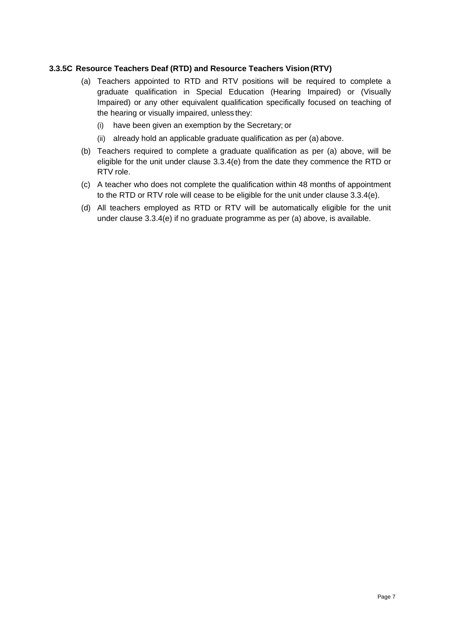## **3.3.5C Resource Teachers Deaf (RTD) and Resource Teachers Vision(RTV)**

- (a) Teachers appointed to RTD and RTV positions will be required to complete a graduate qualification in Special Education (Hearing Impaired) or (Visually Impaired) or any other equivalent qualification specifically focused on teaching of the hearing or visually impaired, unless they:
	- (i) have been given an exemption by the Secretary; or
	- (ii) already hold an applicable graduate qualification as per (a) above.
- (b) Teachers required to complete a graduate qualification as per (a) above, will be eligible for the unit under clause 3.3.4(e) from the date they commence the RTD or RTV role.
- (c) A teacher who does not complete the qualification within 48 months of appointment to the RTD or RTV role will cease to be eligible for the unit under clause 3.3.4(e).
- (d) All teachers employed as RTD or RTV will be automatically eligible for the unit under clause 3.3.4(e) if no graduate programme as per (a) above, is available.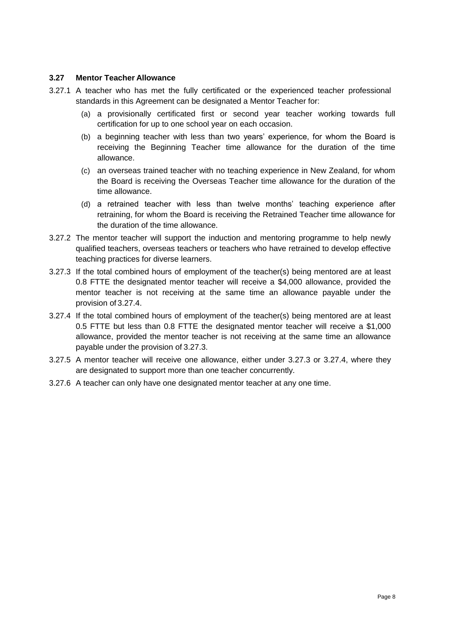### **3.27 Mentor Teacher Allowance**

- 3.27.1 A teacher who has met the fully certificated or the experienced teacher professional standards in this Agreement can be designated a Mentor Teacher for:
	- (a) a provisionally certificated first or second year teacher working towards full certification for up to one school year on each occasion.
	- (b) a beginning teacher with less than two years' experience, for whom the Board is receiving the Beginning Teacher time allowance for the duration of the time allowance.
	- (c) an overseas trained teacher with no teaching experience in New Zealand, for whom the Board is receiving the Overseas Teacher time allowance for the duration of the time allowance.
	- (d) a retrained teacher with less than twelve months' teaching experience after retraining, for whom the Board is receiving the Retrained Teacher time allowance for the duration of the time allowance.
- 3.27.2 The mentor teacher will support the induction and mentoring programme to help newly qualified teachers, overseas teachers or teachers who have retrained to develop effective teaching practices for diverse learners.
- 3.27.3 If the total combined hours of employment of the teacher(s) being mentored are at least 0.8 FTTE the designated mentor teacher will receive a \$4,000 allowance, provided the mentor teacher is not receiving at the same time an allowance payable under the provision of 3.27.4.
- 3.27.4 If the total combined hours of employment of the teacher(s) being mentored are at least 0.5 FTTE but less than 0.8 FTTE the designated mentor teacher will receive a \$1,000 allowance, provided the mentor teacher is not receiving at the same time an allowance payable under the provision of 3.27.3.
- 3.27.5 A mentor teacher will receive one allowance, either under 3.27.3 or 3.27.4, where they are designated to support more than one teacher concurrently.
- 3.27.6 A teacher can only have one designated mentor teacher at any one time.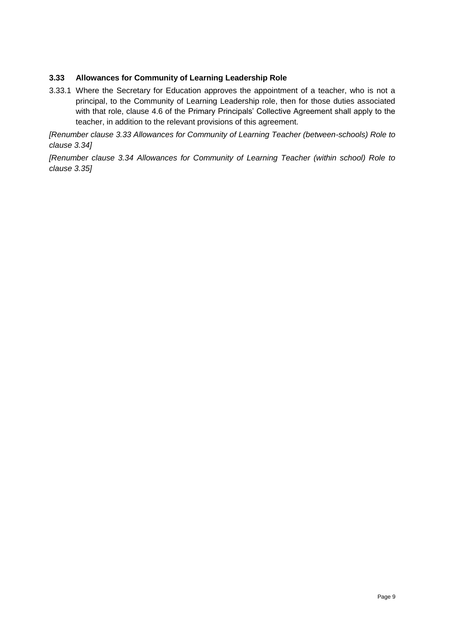# **3.33 Allowances for Community of Learning Leadership Role**

3.33.1 Where the Secretary for Education approves the appointment of a teacher, who is not a principal, to the Community of Learning Leadership role, then for those duties associated with that role, clause 4.6 of the Primary Principals' Collective Agreement shall apply to the teacher, in addition to the relevant provisions of this agreement.

*[Renumber clause 3.33 Allowances for Community of Learning Teacher (between-schools) Role to clause 3.34]*

*[Renumber clause 3.34 Allowances for Community of Learning Teacher (within school) Role to clause 3.35]*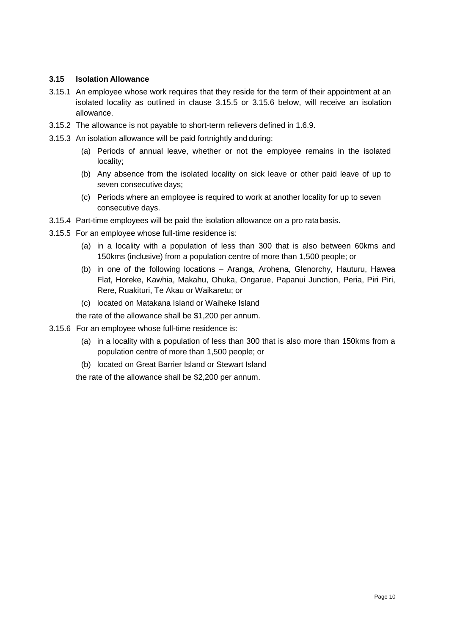## **3.15 Isolation Allowance**

- 3.15.1 An employee whose work requires that they reside for the term of their appointment at an isolated locality as outlined in clause 3.15.5 or 3.15.6 below, will receive an isolation allowance.
- 3.15.2 The allowance is not payable to short-term relievers defined in 1.6.9.
- 3.15.3 An isolation allowance will be paid fortnightly and during:
	- (a) Periods of annual leave, whether or not the employee remains in the isolated locality;
	- (b) Any absence from the isolated locality on sick leave or other paid leave of up to seven consecutive days;
	- (c) Periods where an employee is required to work at another locality for up to seven consecutive days.
- 3.15.4 Part-time employees will be paid the isolation allowance on a pro ratabasis.
- 3.15.5 For an employee whose full-time residence is:
	- (a) in a locality with a population of less than 300 that is also between 60kms and 150kms (inclusive) from a population centre of more than 1,500 people; or
	- (b) in one of the following locations Aranga, Arohena, Glenorchy, Hauturu, Hawea Flat, Horeke, Kawhia, Makahu, Ohuka, Ongarue, Papanui Junction, Peria, Piri Piri, Rere, Ruakituri, Te Akau or Waikaretu; or
	- (c) located on Matakana Island or Waiheke Island
	- the rate of the allowance shall be \$1,200 per annum.
- 3.15.6 For an employee whose full-time residence is:
	- (a) in a locality with a population of less than 300 that is also more than 150kms from a population centre of more than 1,500 people; or
	- (b) located on Great Barrier Island or Stewart Island

the rate of the allowance shall be \$2,200 per annum.